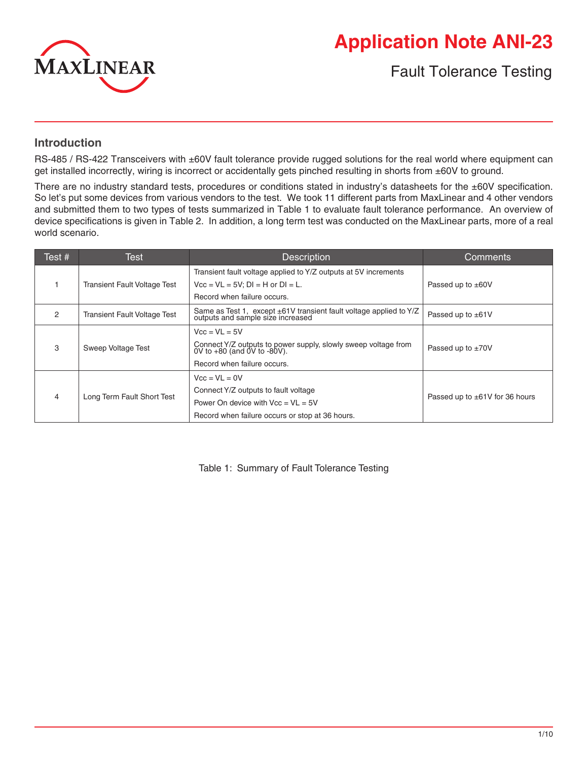

# **Application Note ANI-23**

Fault Tolerance Testing

# **Introduction**

RS-485 / RS-422 Transceivers with ±60V fault tolerance provide rugged solutions for the real world where equipment can get installed incorrectly, wiring is incorrect or accidentally gets pinched resulting in shorts from ±60V to ground.

There are no industry standard tests, procedures or conditions stated in industry's datasheets for the ±60V specification. So let's put some devices from various vendors to the test. We took 11 different parts from MaxLinear and 4 other vendors and submitted them to two types of tests summarized in Table 1 to evaluate fault tolerance performance. An overview of device specifications is given in Table 2. In addition, a long term test was conducted on the MaxLinear parts, more of a real world scenario.

| Test # | Test                                | <b>Description</b>                                                                                   | Comments                            |
|--------|-------------------------------------|------------------------------------------------------------------------------------------------------|-------------------------------------|
|        |                                     | Transient fault voltage applied to Y/Z outputs at 5V increments                                      |                                     |
|        | <b>Transient Fault Voltage Test</b> | $Vec = VE = 5V$ : DI = H or DI = L.                                                                  | Passed up to $\pm 60V$              |
|        |                                     | Record when failure occurs.                                                                          |                                     |
| 2      | <b>Transient Fault Voltage Test</b> | Same as Test 1, except ±61V transient fault voltage applied to Y/Z outputs and sample size increased | Passed up to $\pm 61V$              |
|        |                                     | $Vec = VL = 5V$                                                                                      |                                     |
| 3      | Sweep Voltage Test                  | Connect Y/Z outputs to power supply, slowly sweep voltage from 0V to +80 (and 0V to -80V).           | Passed up to $\pm 70V$              |
|        |                                     | Record when failure occurs.                                                                          |                                     |
|        |                                     | $Vec = VL = 0V$                                                                                      |                                     |
| 4      | Long Term Fault Short Test          | Connect Y/Z outputs to fault voltage                                                                 | Passed up to $\pm 61V$ for 36 hours |
|        |                                     | Power On device with $Vec = VL = 5V$                                                                 |                                     |
|        |                                     | Record when failure occurs or stop at 36 hours.                                                      |                                     |

Table 1: Summary of Fault Tolerance Testing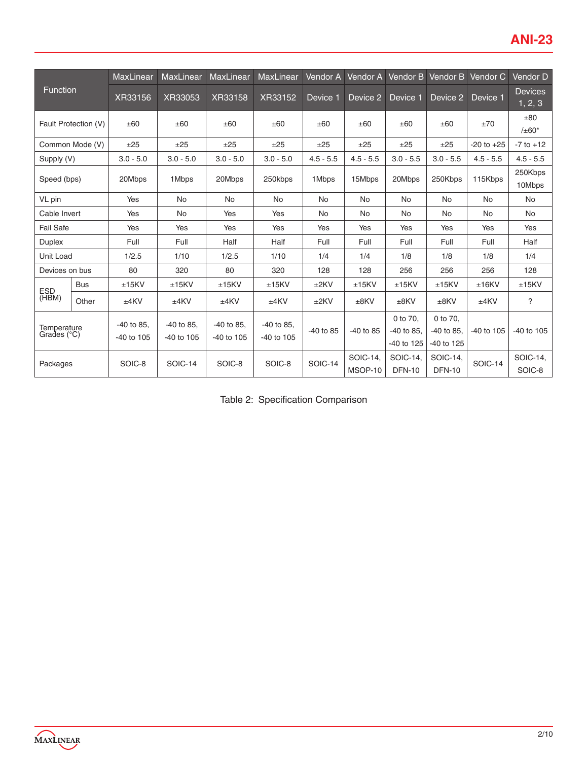|                            |                      | MaxLinear      | <b>MaxLinear</b> | <b>MaxLinear</b> | MaxLinear    | <b>Vendor A</b> | Vendor A    | Vendor B      | Vendor B      | Vendor C       | Vendor D                  |
|----------------------------|----------------------|----------------|------------------|------------------|--------------|-----------------|-------------|---------------|---------------|----------------|---------------------------|
| <b>Function</b>            |                      | XR33156        | XR33053          | XR33158          | XR33152      | Device 1        | Device 2    | Device 1      | Device 2      | Device 1       | <b>Devices</b><br>1, 2, 3 |
|                            | Fault Protection (V) | ±60            | ±60              | ±60              | ±60          | ±60             | ±60         | ±60           | ±60           | ±70            | ±80<br>$/±60*$            |
|                            | Common Mode (V)      | ±25            | ±25              | ±25              | ±25          | ±25             | ±25         | ±25           | ±25           | $-20$ to $+25$ | $-7$ to $+12$             |
| Supply (V)                 |                      | $3.0 - 5.0$    | $3.0 - 5.0$      | $3.0 - 5.0$      | $3.0 - 5.0$  | $4.5 - 5.5$     | $4.5 - 5.5$ | $3.0 - 5.5$   | $3.0 - 5.5$   | $4.5 - 5.5$    | $4.5 - 5.5$               |
| Speed (bps)                |                      | 20Mbps         | 1Mbps            | 20Mbps           | 250kbps      | 1Mbps           | 15Mbps      | 20Mbps        | 250Kbps       | 115Kbps        | 250Kbps<br>10Mbps         |
| VL pin                     |                      | Yes            | <b>No</b>        | <b>No</b>        | <b>No</b>    | <b>No</b>       | <b>No</b>   | <b>No</b>     | <b>No</b>     | <b>No</b>      | No                        |
| Cable Invert               |                      | Yes            | No               | Yes              | Yes          | No              | No          | <b>No</b>     | <b>No</b>     | <b>No</b>      | <b>No</b>                 |
| <b>Fail Safe</b>           |                      | Yes            | Yes              | Yes              | Yes          | Yes             | Yes         | Yes           | Yes           | Yes            | Yes                       |
| <b>Duplex</b>              |                      | Full           | Full             | Half             | Half         | Full            | Full        | Full          | Full          | Full           | Half                      |
| Unit Load                  |                      | 1/2.5          | 1/10             | 1/2.5            | 1/10         | 1/4             | 1/4         | 1/8           | 1/8           | 1/8            | 1/4                       |
| Devices on bus             |                      | 80             | 320              | 80               | 320          | 128             | 128         | 256           | 256           | 256            | 128                       |
| <b>ESD</b>                 | <b>Bus</b>           | $±15$ KV       | ±15KV            | ±15KV            | ±15KV        | ±2KV            | ±15KV       | ±15KV         | ±15KV         | $±16$ KV       | ±15KV                     |
| (HBM)                      | Other                | ±4KV           | ±4KV             | ±4KV             | $±4$ KV      | ±2KV            | $±8$ KV     | $±8$ KV       | $±8$ KV       | ±4KV           | ?                         |
|                            |                      | -40 to 85,     | $-40$ to 85.     | -40 to 85,       | $-40$ to 85, |                 |             | 0 to 70.      | 0 to 70.      |                |                           |
| Temperature<br>Grades (°C) |                      | $-40$ to $105$ | $-40$ to $105$   | -40 to 105       | -40 to 105   | -40 to 85       | $-40$ to 85 | $-40$ to 85.  | -40 to 85.    | -40 to 105     | -40 to 105                |
|                            |                      |                |                  |                  |              |                 |             | -40 to 125    | -40 to 125    |                |                           |
| Packages                   |                      | SOIC-8         | <b>SOIC-14</b>   | SOIC-8           | SOIC-8       | <b>SOIC-14</b>  | SOIC-14,    | SOIC-14,      | SOIC-14,      | <b>SOIC-14</b> | SOIC-14.                  |
|                            |                      |                |                  |                  |              |                 | MSOP-10     | <b>DFN-10</b> | <b>DFN-10</b> |                | SOIC-8                    |

Table 2: Specification Comparison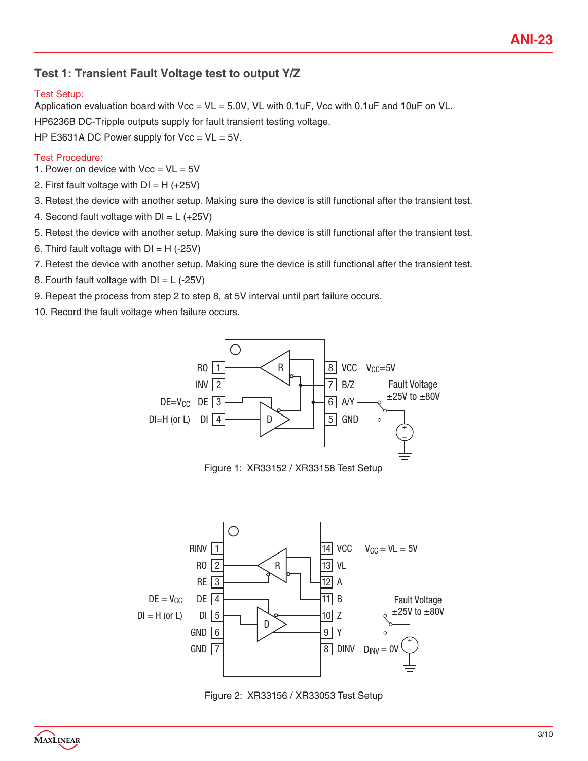# **Test 1: Transient Fault Voltage test to output Y/Z**

### Test Setup:

Application evaluation board with  $Vec = VL = 5.0V$ , VL with 0.1uF, Vcc with 0.1uF and 10uF on VL. HP6236B DC-Tripple outputs supply for fault transient testing voltage. HP E3631A DC Power supply for  $Vec = VL = 5V$ .

#### Test Procedure:

- 1. Power on device with  $Vec = VL = 5V$
- 2. First fault voltage with  $DI = H$  (+25V)
- 3. Retest the device with another setup. Making sure the device is still functional after the transient test.
- 4. Second fault voltage with  $DI = L$  (+25V)
- 5. Retest the device with another setup. Making sure the device is still functional after the transient test.
- 6. Third fault voltage with  $DI = H$  (-25V)
- 7. Retest the device with another setup. Making sure the device is still functional after the transient test.
- 8. Fourth fault voltage with  $DI = L$  (-25V)
- 9. Repeat the process from step 2 to step 8, at 5V interval until part failure occurs.
- 10. Record the fault voltage when failure occurs.



Figure 1: XR33152 / XR33158 Test Setup



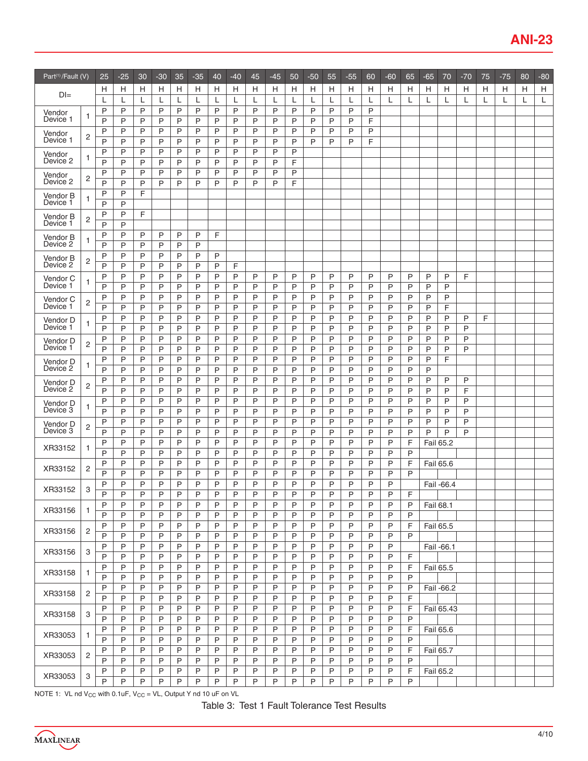| Part <sup>(1)</sup> /Fault (V) |                | 25             | $-25$  | 30     | $-30$  | 35           | -35    | 40     | $-40$  | 45     | $-45$  | 50     | $-50$  | 55     | -55    | 60     | $-60$  | 65     | $-65$     | 70         | $-70$  | 75 | $-75$ | 80 | $-80$ |
|--------------------------------|----------------|----------------|--------|--------|--------|--------------|--------|--------|--------|--------|--------|--------|--------|--------|--------|--------|--------|--------|-----------|------------|--------|----|-------|----|-------|
| $D =$                          |                | н              | н      | Н      | н      | Н            | Н      | н      | н      | Н      | Н      | н      | н      | н      | Н      | н      | н      | н      | Н         | Н          | н      | н  | Н     | н  | н     |
|                                |                | L              | L      | L      | L      | L            | L      | L      | L      | L      | L      | L      | L      | L      | L      | L      | L      | L      | L         | L          | L      |    | L     | L  | L     |
| Vendor<br>Device 1             | 1              | P<br>P         | P<br>P | P<br>P | P<br>P | P<br>P       | P<br>P | P<br>P | P<br>P | P<br>P | P<br>P | P<br>P | P<br>P | P<br>P | P<br>P | P<br>F |        |        |           |            |        |    |       |    |       |
| Vendor<br>Device 1             | $\overline{2}$ | P<br>P         | P<br>P | P<br>P | P<br>P | P<br>P       | P<br>P | P<br>P | P<br>P | P<br>P | P<br>P | P<br>P | P<br>P | P<br>P | P<br>P | P<br>F |        |        |           |            |        |    |       |    |       |
| Vendor<br>Device 2             | 1              | P              | P      | P      | P      | P            | P      | P      | P      | P      | P      | P      |        |        |        |        |        |        |           |            |        |    |       |    |       |
| Vendor                         | 2              | P<br>P         | P<br>P | P<br>P | P<br>P | P<br>P       | P<br>P | P<br>P | P<br>P | P<br>P | P<br>P | F<br>P |        |        |        |        |        |        |           |            |        |    |       |    |       |
| Device 2                       |                | P              | P      | P      | P      | P            | P      | P      | P      | P      | P      | F      |        |        |        |        |        |        |           |            |        |    |       |    |       |
| Vendor B<br>Device 1           | 1              | P<br>P         | P<br>P | F      |        |              |        |        |        |        |        |        |        |        |        |        |        |        |           |            |        |    |       |    |       |
| Vendor B<br>Device 1           | 2              | P<br>P         | P<br>P | F      |        |              |        |        |        |        |        |        |        |        |        |        |        |        |           |            |        |    |       |    |       |
| Vendor B                       | $\mathbf{1}$   | P              | P      | P      | P      | P            | P      | F      |        |        |        |        |        |        |        |        |        |        |           |            |        |    |       |    |       |
| Device 2                       |                | P<br>P         | P<br>P | P<br>P | P<br>P | P<br>P       | P<br>P | P      |        |        |        |        |        |        |        |        |        |        |           |            |        |    |       |    |       |
| Vendor B<br>Device 2           | $\overline{c}$ | P              | P      | P      | P      | P            | P      | P      | F      |        |        |        |        |        |        |        |        |        |           |            |        |    |       |    |       |
| Vendor C                       |                | P              | P      | P      | P      | P            | P      | P      | P      | P      | P      | P      | P      | P      | P      | P      | P      | P      | P         | P          | F      |    |       |    |       |
| Device 1                       | $\mathbf{1}$   | P              | P      | P      | P      | P            | P      | P      | P      | P      | P      | P      | P      | P      | P      | P      | P      | P      | P         | P          |        |    |       |    |       |
| Vendor C<br>Device 1           | $\overline{c}$ | P              | P      | P      | P      | P            | P      | P      | P      | P      | P      | P      | P      | P      | P      | P      | P      | P      | P         | P          |        |    |       |    |       |
|                                |                | P<br>P         | P<br>P | P<br>P | P<br>P | P<br>P       | P<br>P | P<br>P | P<br>P | P<br>P | P<br>P | P<br>P | P<br>P | P<br>P | P<br>P | P<br>P | P<br>P | P<br>P | P<br>P    | F<br>P     | P      | F  |       |    |       |
| Vendor D<br>Device 1           | 1              | P              | P      | P      | P      | P            | P      | P      | P      | P      | P      | P      | P      | P      | P      | P      | P      | P      | P         | P          | P      |    |       |    |       |
| Vendor D                       |                | P              | P      | P      | P      | P            | P      | P      | P      | P      | P      | P      | P      | P      | P      | P      | P      | P      | P         | P          | P      |    |       |    |       |
| Device 1                       | $\overline{c}$ | P              | P      | P      | P      | P            | P      | P      | P      | P      | P      | P      | P      | P      | P      | P      | P      | P      | P         | P          | P      |    |       |    |       |
| Vendor D<br>Device 2           | 1              | P<br>P         | P<br>P | P<br>P | P<br>P | P<br>P       | P<br>P | P<br>P | P<br>P | P<br>P | P<br>P | P<br>P | P<br>P | P<br>P | P<br>P | P<br>P | P<br>P | P<br>P | P<br>P    | F          |        |    |       |    |       |
| Vendor D                       |                | P              | P      | P      | P      | P            | P      | P      | P      | P      | P      | P      | P      | P      | P      | P      | P      | P      | P         | P          | P      |    |       |    |       |
| Device 2                       | 2              | P              | P      | P      | P      | P            | P      | P      | P      | P      | P      | P      | P      | P      | P      | P      | P      | P      | P         | P          | F      |    |       |    |       |
| Vendor D                       | 1              | P              | P      | P      | P      | P            | P      | P      | P      | P      | P      | P      | P      | P      | P      | P      | P      | P      | P         | P          | P      |    |       |    |       |
| Device 3                       |                | P              | P      | P      | P      | P            | P      | P      | P      | P      | P      | P      | P      | P      | P      | P      | P      | P      | P         | P          | P      |    |       |    |       |
| Vendor D<br>Device 3           | 2              | P<br>P         | P<br>P | P<br>P | P<br>P | P<br>P       | P<br>P | P<br>P | P<br>P | P<br>P | P<br>P | P<br>P | P<br>P | P<br>P | P<br>P | P<br>P | P<br>P | P<br>P | P<br>P    | P<br>P     | P<br>P |    |       |    |       |
| XR33152                        | $\mathbf{1}$   | P              | P      | P      | P      | P            | P      | P      | P      | P      | P      | P      | P      | P      | P      | P      | P      | F      |           | Fail 65.2  |        |    |       |    |       |
|                                |                | P              | P<br>P | P<br>P | P<br>P | P<br>P       | P<br>P | P      | P<br>P | P<br>P | P      | P<br>P | P<br>P | P<br>P | P<br>P | P<br>P | P<br>P | P<br>F |           |            |        |    |       |    |       |
| XR33152                        | $\overline{c}$ | P<br>P         | P      | P      | P      | P            | P      | P<br>P | P      | P      | P<br>P | P      | P      | P      | P      | P      | P      | P      |           | Fail 65.6  |        |    |       |    |       |
|                                |                | Ρ              | P      | Ρ      | P      | P            | P      | P      | P      | P      | P      | P      | P      | P      | P      | P      | P      |        |           | Fail -66.4 |        |    |       |    |       |
| XR33152                        | 3              | P              | P      | P      | P      | P            | P      | P      | P      | P      | P      | P      | P      | P      | P      | P      | P      | F      |           |            |        |    |       |    |       |
| XR33156                        | 1              | P              | P      | P      | P      | P            | P      | P      | P      | P      | P      | P      | P      | P      | P      | P      | P      | P      | Fail 68.1 |            |        |    |       |    |       |
|                                |                | $\overline{P}$ | P      | P      | P      | P            | P      | P      | P      | P      | P      | P      | P      | P      | P      | P      | P      | P      |           |            |        |    |       |    |       |
| XR33156                        | $\overline{c}$ | P              | P      | P      | P      | P            | P      | P      | Ρ      | P      | P      | P      | P      | P      | P      | P      | P      | F      |           | Fail 65.5  |        |    |       |    |       |
|                                |                | P<br>P         | Ρ<br>P | P<br>P | P<br>P | P<br>P       | P<br>P | P<br>P | Ρ<br>P | P<br>P | P<br>P | P<br>P | P<br>P | P<br>P | P<br>P | P<br>P | P<br>P | P      |           | Fail -66.1 |        |    |       |    |       |
| XR33156                        | 3              | P              | P      | P      | P      | P            | P      | P      | P      | P      | P      | P      | P      | P      | P      | P      | P      | F      |           |            |        |    |       |    |       |
| XR33158                        | 1              | P<br>P         | P<br>P | P<br>P | P<br>P | P<br>P       | P<br>P | P<br>P | P<br>P | P<br>P | P<br>P | P<br>P | P<br>P | P<br>P | P<br>P | P<br>P | P<br>P | F<br>P |           | Fail 65.5  |        |    |       |    |       |
|                                |                | P              | Ρ      | P      | P      | P            | P      | P      | P      | P      | P      | P      | P      | P      | P      | P      | P      | P      |           | Fail -66.2 |        |    |       |    |       |
| XR33158                        | 2              | $\mathsf P$    | P      | P      | P      | $\mathsf{P}$ | P      | P      | P      | P      | P      | P      | P      | P      | P      | P      | P      | F      |           |            |        |    |       |    |       |
| XR33158                        | 3              | P              | P      | P      | P      | P            | P      | P      | P      | P      | P      | P      | P      | P      | P      | P      | P      | F      |           | Fail 65.43 |        |    |       |    |       |
|                                |                | P              | P      | P      | P      | P            | P      | P      | P      | P      | P      | P      | P      | P      | P      | P      | P      | P      |           |            |        |    |       |    |       |
| XR33053                        | 1              | P<br>P         | P<br>Ρ | P<br>P | P<br>P | P<br>P       | P<br>P | P<br>P | Ρ<br>P | P<br>P | P<br>P | P<br>P | P<br>P | P<br>P | P<br>P | P<br>P | P<br>P | F<br>P |           | Fail 65.6  |        |    |       |    |       |
|                                |                | P              | P      | P      | P      | $\mathsf{P}$ | P      | P      | P      | P      | P      | P      | P      | P      | P      | P      | P      | F      |           | Fail 65.7  |        |    |       |    |       |
| XR33053                        | $\overline{2}$ | P              | P      | P      | P      | P            | P      | P      | P      | P      | P      | P      | P      | P      | P      | P      | P      | P      |           |            |        |    |       |    |       |
| XR33053                        | 3              | P              | P      | P      | P      | P            | P      | P      | P      | P      | P      | P      | P      | P      | P      | P      | P      | F      |           | Fail 65.2  |        |    |       |    |       |
|                                |                | P              | Ρ      | P      | P      | Ρ            | P      | P      | Ρ      | P      | Ρ      | P      | P      | P      | P      | P      | P      | P      |           |            |        |    |       |    |       |

NOTE 1: VL nd  $V_{CC}$  with 0.1uF,  $V_{CC} = VL$ , Output Y nd 10 uF on VL

Table 3: Test 1 Fault Tolerance Test Results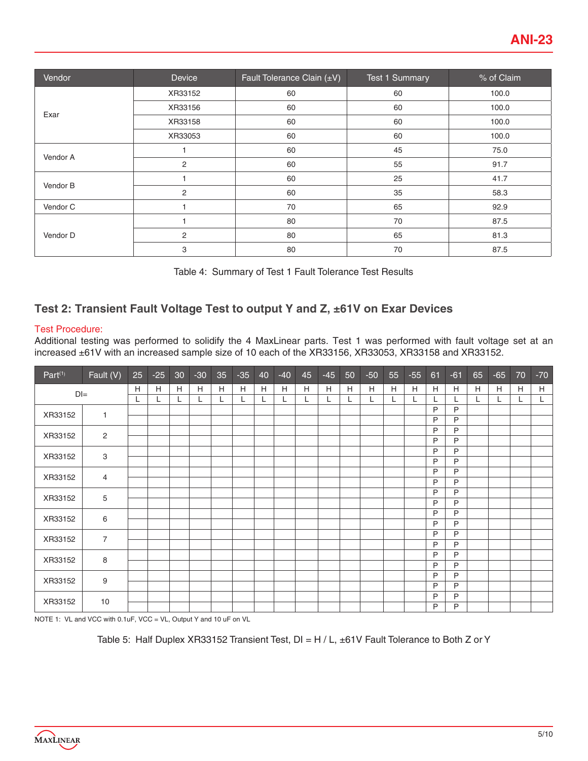| Vendor   | Device         | Fault Tolerance Clain $(\pm V)$ | <b>Test 1 Summary</b> | % of Claim |
|----------|----------------|---------------------------------|-----------------------|------------|
|          | XR33152        | 60                              | 60                    | 100.0      |
| Exar     | XR33156        | 60                              | 60                    | 100.0      |
|          | XR33158        | 60                              | 60                    | 100.0      |
|          | XR33053        | 60                              | 60                    | 100.0      |
| Vendor A |                | 60                              | 45                    | 75.0       |
|          | $\overline{c}$ | 60                              | 55                    | 91.7       |
| Vendor B |                | 60                              | 25                    | 41.7       |
|          | $\overline{c}$ | 60                              | 35                    | 58.3       |
| Vendor C |                | 70                              | 65                    | 92.9       |
|          |                | 80                              | 70                    | 87.5       |
| Vendor D | 2              | 80                              | 65                    | 81.3       |
|          | 3              | 80                              | 70                    | 87.5       |

Table 4: Summary of Test 1 Fault Tolerance Test Results

# **Test 2: Transient Fault Voltage Test to output Y and Z, ±61V on Exar Devices**

#### Test Procedure:

Additional testing was performed to solidify the 4 MaxLinear parts. Test 1 was performed with fault voltage set at an increased ±61V with an increased sample size of 10 each of the XR33156, XR33053, XR33158 and XR33152.

| Part <sup>(1)</sup> | Fault (V)      | 25 | $-25$ | 30 | $-30$ | 35 | $-35$ | 40 | $-40$ | 45 | $-45$ | 50 | $-50$ | 55 | $-55$ | 61 | $-61$ | 65 | $-65$                     | 70 | $-70$ |
|---------------------|----------------|----|-------|----|-------|----|-------|----|-------|----|-------|----|-------|----|-------|----|-------|----|---------------------------|----|-------|
|                     |                | H  | H     | H  | H     | H  | H     | H  | H     | H  | H     | H  | H     | H  | H     | H  | H     | H  | $\boldsymbol{\mathsf{H}}$ | H  | H     |
| $DI =$              |                | L  | L     | L  | L     | L  | L     | L  | L     | L  | L     | L  | L     | L. | L     |    |       | Щ. |                           | L. | L     |
| XR33152             | 1              |    |       |    |       |    |       |    |       |    |       |    |       |    |       | P  | P     |    |                           |    |       |
|                     |                |    |       |    |       |    |       |    |       |    |       |    |       |    |       | P  | P     |    |                           |    |       |
| XR33152             | $\overline{2}$ |    |       |    |       |    |       |    |       |    |       |    |       |    |       | P  | P     |    |                           |    |       |
|                     |                |    |       |    |       |    |       |    |       |    |       |    |       |    |       | P  | P     |    |                           |    |       |
| XR33152             | 3              |    |       |    |       |    |       |    |       |    |       |    |       |    |       | P  | P     |    |                           |    |       |
|                     |                |    |       |    |       |    |       |    |       |    |       |    |       |    |       | P  | P     |    |                           |    |       |
| XR33152             | $\overline{4}$ |    |       |    |       |    |       |    |       |    |       |    |       |    |       | P  | P     |    |                           |    |       |
|                     |                |    |       |    |       |    |       |    |       |    |       |    |       |    |       | P  | P     |    |                           |    |       |
| XR33152             | 5              |    |       |    |       |    |       |    |       |    |       |    |       |    |       | P  | P     |    |                           |    |       |
|                     |                |    |       |    |       |    |       |    |       |    |       |    |       |    |       | P  | P     |    |                           |    |       |
| XR33152             | 6              |    |       |    |       |    |       |    |       |    |       |    |       |    |       | P  | P     |    |                           |    |       |
|                     |                |    |       |    |       |    |       |    |       |    |       |    |       |    |       | P  | P     |    |                           |    |       |
| XR33152             | $\overline{7}$ |    |       |    |       |    |       |    |       |    |       |    |       |    |       | P  | P     |    |                           |    |       |
|                     |                |    |       |    |       |    |       |    |       |    |       |    |       |    |       | P  | P     |    |                           |    |       |
| XR33152             | 8              |    |       |    |       |    |       |    |       |    |       |    |       |    |       | P  | P     |    |                           |    |       |
|                     |                |    |       |    |       |    |       |    |       |    |       |    |       |    |       | P  | P     |    |                           |    |       |
| XR33152             | 9              |    |       |    |       |    |       |    |       |    |       |    |       |    |       | P  | P     |    |                           |    |       |
|                     |                |    |       |    |       |    |       |    |       |    |       |    |       |    |       | P  | P     |    |                           |    |       |
| XR33152             | 10             |    |       |    |       |    |       |    |       |    |       |    |       |    |       | P  | P     |    |                           |    |       |
|                     |                |    |       |    |       |    |       |    |       |    |       |    |       |    |       | P  | P     |    |                           |    |       |

NOTE 1: VL and VCC with 0.1uF, VCC = VL, Output Y and 10 uF on VL

Table 5: Half Duplex XR33152 Transient Test,  $DI = H / L$ ,  $\pm 61V$  Fault Tolerance to Both Z or Y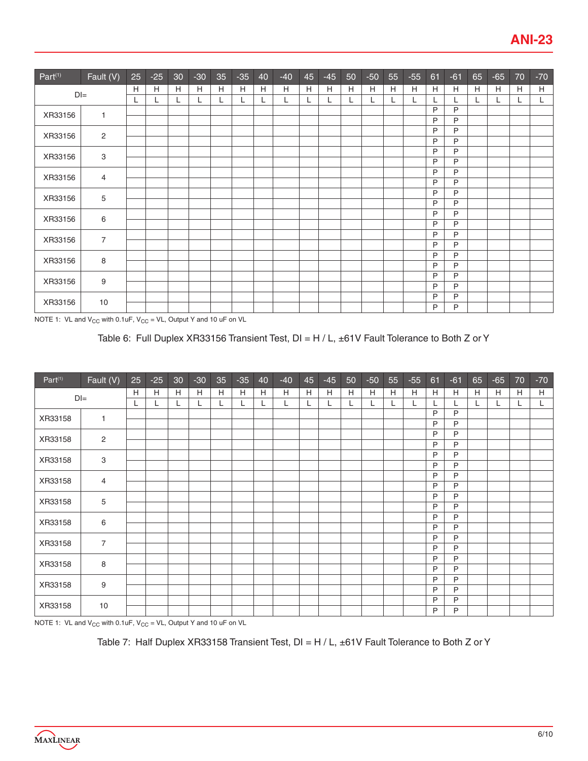| Part <sup>(1)</sup> | Fault (V)      | 25 | $-25$ | 30 <sub>o</sub> | $-30$ | 35 | $-35$ | 40 | $-40$ | 45 | $-45$ | 50 | $-50$ | 55 | $-55$ | 61     | $-61$  | 65 | $-65$ | 70 | $-70$ |
|---------------------|----------------|----|-------|-----------------|-------|----|-------|----|-------|----|-------|----|-------|----|-------|--------|--------|----|-------|----|-------|
| $DI =$              |                | Н  | H     | H               | Н     | н  | H     | H  | Н     | H  | Н     | H  | H     | H  | H     | H      | Н      | H  | H     | H  | H     |
|                     |                | L  |       | ┗               | L.    | L  | L     | L  | L     | L  | L     | L  | L     | L  | L     |        | L      | L  | L     | L  | L.    |
| XR33156             | 1              |    |       |                 |       |    |       |    |       |    |       |    |       |    |       | P      | P      |    |       |    |       |
|                     |                |    |       |                 |       |    |       |    |       |    |       |    |       |    |       | P      | P      |    |       |    |       |
| XR33156             | 2              |    |       |                 |       |    |       |    |       |    |       |    |       |    |       | P      | P      |    |       |    |       |
|                     |                |    |       |                 |       |    |       |    |       |    |       |    |       |    |       | P      | P      |    |       |    |       |
| XR33156             | 3              |    |       |                 |       |    |       |    |       |    |       |    |       |    |       | P      | P      |    |       |    |       |
|                     |                |    |       |                 |       |    |       |    |       |    |       |    |       |    |       | P      | P      |    |       |    |       |
| XR33156             | 4              |    |       |                 |       |    |       |    |       |    |       |    |       |    |       | P      | P      |    |       |    |       |
|                     |                |    |       |                 |       |    |       |    |       |    |       |    |       |    |       | P      | P      |    |       |    |       |
| XR33156             | 5              |    |       |                 |       |    |       |    |       |    |       |    |       |    |       | P      | P      |    |       |    |       |
|                     |                |    |       |                 |       |    |       |    |       |    |       |    |       |    |       | P      | P      |    |       |    |       |
| XR33156             | 6              |    |       |                 |       |    |       |    |       |    |       |    |       |    |       | P      | P      |    |       |    |       |
|                     |                |    |       |                 |       |    |       |    |       |    |       |    |       |    |       | P      | P      |    |       |    |       |
| XR33156             | $\overline{7}$ |    |       |                 |       |    |       |    |       |    |       |    |       |    |       | P      | P      |    |       |    |       |
|                     |                |    |       |                 |       |    |       |    |       |    |       |    |       |    |       | P      | P      |    |       |    |       |
| XR33156             | 8              |    |       |                 |       |    |       |    |       |    |       |    |       |    |       | P      | P      |    |       |    |       |
|                     |                |    |       |                 |       |    |       |    |       |    |       |    |       |    |       | P      | P      |    |       |    |       |
| XR33156             | 9              |    |       |                 |       |    |       |    |       |    |       |    |       |    |       | P      | P      |    |       |    |       |
|                     |                |    |       |                 |       |    |       |    |       |    |       |    |       |    |       | P      | P      |    |       |    |       |
| XR33156             | 10             |    |       |                 |       |    |       |    |       |    |       |    |       |    |       | P<br>P | P<br>P |    |       |    |       |

NOTE 1: VL and  $V_{CC}$  with 0.1uF,  $V_{CC} = VL$ , Output Y and 10 uF on VL

## Table 6: Full Duplex XR33156 Transient Test, DI = H / L, ±61V Fault Tolerance to Both Z or Y

| Part <sup>(1)</sup> | Fault (V)                 | 25 | $-25$ | 30 | $-30$ | 35 | $-35$ | 40 | $-40$ | 45 | $-45$ | 50 | $-50$ | 55 | $-55$ | 61     | $-61$  | 65 | $-65$ | 70 | $-70$ |
|---------------------|---------------------------|----|-------|----|-------|----|-------|----|-------|----|-------|----|-------|----|-------|--------|--------|----|-------|----|-------|
| $DI =$              |                           | H  | H     | H  | H     | H  | H     | H  | H     | H  | H     | H  | Н     | Н  | Н     | H      | Н      | H  | H     | H  | H     |
|                     |                           | L  | L     |    | L     | L  | L     | L  | L     | L  | L     | L  | L     | L  | L     |        | L      | L  | L     | L  | L.    |
| XR33158             | 1                         |    |       |    |       |    |       |    |       |    |       |    |       |    |       | P      | P      |    |       |    |       |
|                     |                           |    |       |    |       |    |       |    |       |    |       |    |       |    |       | P      | P      |    |       |    |       |
| XR33158             | $\overline{\mathbf{c}}$   |    |       |    |       |    |       |    |       |    |       |    |       |    |       | P      | P      |    |       |    |       |
|                     |                           |    |       |    |       |    |       |    |       |    |       |    |       |    |       | P      | P      |    |       |    |       |
| XR33158             | $\ensuremath{\mathsf{3}}$ |    |       |    |       |    |       |    |       |    |       |    |       |    |       | P      | P      |    |       |    |       |
|                     |                           |    |       |    |       |    |       |    |       |    |       |    |       |    |       | P      | P      |    |       |    |       |
| XR33158             | 4                         |    |       |    |       |    |       |    |       |    |       |    |       |    |       | P<br>P | P<br>P |    |       |    |       |
|                     |                           |    |       |    |       |    |       |    |       |    |       |    |       |    |       | P      | P      |    |       |    |       |
| XR33158             | 5                         |    |       |    |       |    |       |    |       |    |       |    |       |    |       | P      | P      |    |       |    |       |
|                     |                           |    |       |    |       |    |       |    |       |    |       |    |       |    |       | P      | P      |    |       |    |       |
| XR33158             | 6                         |    |       |    |       |    |       |    |       |    |       |    |       |    |       | P      | P      |    |       |    |       |
|                     |                           |    |       |    |       |    |       |    |       |    |       |    |       |    |       | P      | P      |    |       |    |       |
| XR33158             | $\overline{7}$            |    |       |    |       |    |       |    |       |    |       |    |       |    |       | P      | P      |    |       |    |       |
|                     |                           |    |       |    |       |    |       |    |       |    |       |    |       |    |       | P      | P      |    |       |    |       |
| XR33158             | 8                         |    |       |    |       |    |       |    |       |    |       |    |       |    |       | P      | P      |    |       |    |       |
|                     |                           |    |       |    |       |    |       |    |       |    |       |    |       |    |       | P      | P      |    |       |    |       |
| XR33158             | 9                         |    |       |    |       |    |       |    |       |    |       |    |       |    |       | P      | P      |    |       |    |       |
|                     |                           |    |       |    |       |    |       |    |       |    |       |    |       |    |       | P      | P      |    |       |    |       |
| XR33158             | 10                        |    |       |    |       |    |       |    |       |    |       |    |       |    |       | P      | P      |    |       |    |       |

NOTE 1: VL and  $V_{CC}$  with 0.1uF,  $V_{CC} = VL$ , Output Y and 10 uF on VL

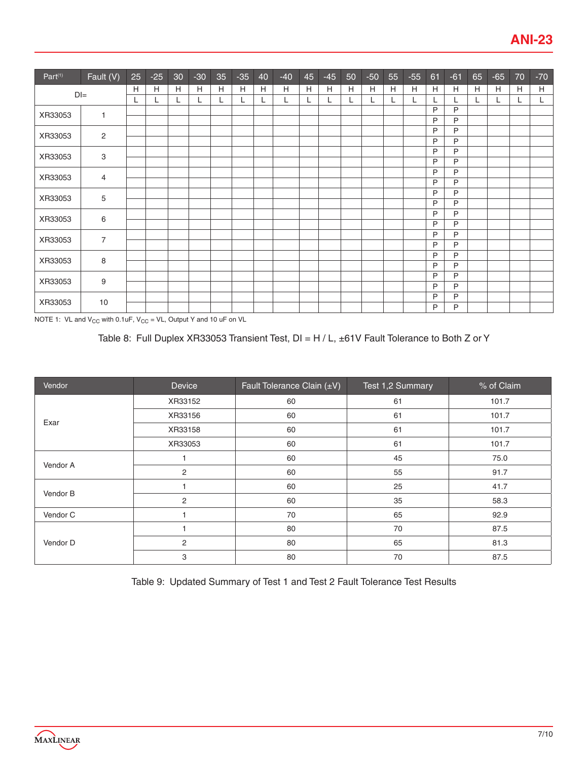| Part <sup>(1)</sup> | Fault (V)      | 25 | $-25$ | 30 | $-30$ | 35 | $-35$ | 40 | $-40$ | 45 | $-45$ | 50 | $-50$ | 55 | $-55$ | 61           | $-61$ | 65 | $-65$ | 70 | $-70$ |
|---------------------|----------------|----|-------|----|-------|----|-------|----|-------|----|-------|----|-------|----|-------|--------------|-------|----|-------|----|-------|
|                     | $DI =$         | Н  | Н     | H  | Н     | Н  | H     | H  | Н     | H  | Н     | H  | H     | H  | н     | H            | Н     | H  | H     | H  | H     |
|                     |                | ┗  |       |    | L.    | L  | L     | L  | L     | L  | L     | L  | L     | L  | ┕     | L            | L     | L  | L     | L. | L.    |
| XR33053             | 1              |    |       |    |       |    |       |    |       |    |       |    |       |    |       | P            | P     |    |       |    |       |
|                     |                |    |       |    |       |    |       |    |       |    |       |    |       |    |       | P            | P     |    |       |    |       |
| XR33053             | 2              |    |       |    |       |    |       |    |       |    |       |    |       |    |       | P            | P     |    |       |    |       |
|                     |                |    |       |    |       |    |       |    |       |    |       |    |       |    |       | P            | P     |    |       |    |       |
| XR33053             | 3              |    |       |    |       |    |       |    |       |    |       |    |       |    |       | P            | P     |    |       |    |       |
|                     |                |    |       |    |       |    |       |    |       |    |       |    |       |    |       | P            | P     |    |       |    |       |
| XR33053             | 4              |    |       |    |       |    |       |    |       |    |       |    |       |    |       | P            | P     |    |       |    |       |
|                     |                |    |       |    |       |    |       |    |       |    |       |    |       |    |       | P            | P     |    |       |    |       |
| XR33053             | 5              |    |       |    |       |    |       |    |       |    |       |    |       |    |       | P            | P     |    |       |    |       |
|                     |                |    |       |    |       |    |       |    |       |    |       |    |       |    |       | P            | P     |    |       |    |       |
| XR33053             | 6              |    |       |    |       |    |       |    |       |    |       |    |       |    |       | P            | P     |    |       |    |       |
|                     |                |    |       |    |       |    |       |    |       |    |       |    |       |    |       | P            | P     |    |       |    |       |
| XR33053             | $\overline{7}$ |    |       |    |       |    |       |    |       |    |       |    |       |    |       | P            | P     |    |       |    |       |
|                     |                |    |       |    |       |    |       |    |       |    |       |    |       |    |       | P            | P     |    |       |    |       |
| XR33053             | 8              |    |       |    |       |    |       |    |       |    |       |    |       |    |       | P            | P     |    |       |    |       |
|                     |                |    |       |    |       |    |       |    |       |    |       |    |       |    |       | P            | P     |    |       |    |       |
| XR33053             | 9              |    |       |    |       |    |       |    |       |    |       |    |       |    |       | P            | P     |    |       |    |       |
|                     |                |    |       |    |       |    |       |    |       |    |       |    |       |    |       | P            | P     |    |       |    |       |
| XR33053             | 10             |    |       |    |       |    |       |    |       |    |       |    |       |    |       | P            | P     |    |       |    |       |
|                     |                |    |       |    |       |    |       |    |       |    |       |    |       |    |       | $\mathsf{P}$ | P     |    |       |    |       |

NOTE 1: VL and  $V_{CC}$  with 0.1uF,  $V_{CC} = VL$ , Output Y and 10 uF on VL

# Table 8: Full Duplex XR33053 Transient Test, DI = H / L, ±61V Fault Tolerance to Both Z or Y

| Vendor   | Device         | Fault Tolerance Clain (±V) | Test 1,2 Summary | % of Claim |
|----------|----------------|----------------------------|------------------|------------|
|          | XR33152        | 60                         | 61               | 101.7      |
| Exar     | XR33156        | 60                         | 61               | 101.7      |
|          | XR33158        | 60                         | 61               | 101.7      |
|          | XR33053        | 60                         | 61               | 101.7      |
| Vendor A |                | 60                         | 45               | 75.0       |
|          | $\overline{2}$ | 60                         | 55               | 91.7       |
| Vendor B |                | 60                         | 25               | 41.7       |
|          | $\overline{2}$ | 60                         | 35               | 58.3       |
| Vendor C |                | 70                         | 65               | 92.9       |
|          |                | 80                         | 70               | 87.5       |
| Vendor D | 2              | 80                         | 65               | 81.3       |
|          | 3              | 80                         | 70               | 87.5       |

Table 9: Updated Summary of Test 1 and Test 2 Fault Tolerance Test Results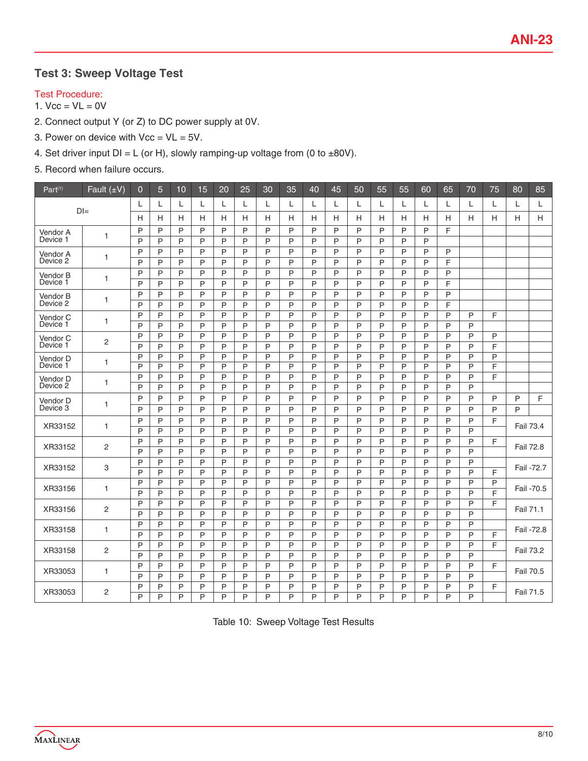# **Test 3: Sweep Voltage Test**

#### Test Procedure:

# 1.  $Vcc = VL = 0V$

- 2. Connect output Y (or Z) to DC power supply at 0V.
- 3. Power on device with  $Vcc = VL = 5V$ .
- 4. Set driver input  $DI = L$  (or H), slowly ramping-up voltage from (0 to  $\pm 80V$ ).
- 5. Record when failure occurs.

| Part <sup>(1)</sup>  | Fault $(\pm V)$ | $\mathbf 0$ | $\overline{5}$ | 10     | 15     | 20     | 25     | 30     | 35          | 40     | 45     | 50     | 55     | 55     | 60     | 65     | 70     | 75     | 80               | 85         |
|----------------------|-----------------|-------------|----------------|--------|--------|--------|--------|--------|-------------|--------|--------|--------|--------|--------|--------|--------|--------|--------|------------------|------------|
|                      | $D =$           | L           | L              | L      | L      | L      | L      | L      | L           | L      | L      | L      | L      | L      | L      | L      | L      | L      | L                | L          |
|                      |                 | H           | Н              | н      | H      | H      | Н      | н      | H           | H      | Н      | н      | н      | н      | н      | н      | н      | H      | H                | H          |
| Vendor A             | $\mathbf{1}$    | P           | P              | P      | P      | P      | P      | P      | P           | P      | P      | P      | P      | P      | P      | F      |        |        |                  |            |
| Device 1             |                 | P           | P              | P      | P      | P      | P      | P      | P           | P      | P      | P      | P      | P      | P      |        |        |        |                  |            |
| Vendor A             | 1               | P           | P              | P      | P      | P      | P      | P      | P           | P      | P      | P      | P      | P      | P      | P      |        |        |                  |            |
| Device 2             |                 | P           | P              | P      | P      | P      | P      | P      | P           | P      | P      | P      | P      | P      | P      | F      |        |        |                  |            |
| Vendor B<br>Device 1 | 1               | P           | P              | P      | P      | P      | P      | P      | P           | P      | P      | P      | P      | P      | P      | P      |        |        |                  |            |
|                      |                 | P           | P              | P      | P      | P      | P      | P      | P           | P      | P      | P      | P      | P      | P      | F      |        |        |                  |            |
| Vendor B             | 1               | P           | P              | P      | P      | P      | P      | P      | P           | P      | P      | P      | P      | P      | P      | P      |        |        |                  |            |
| Device 2             |                 | P           | P              | P      | P      | P      | P      | P      | P           | P      | P      | P      | P      | P      | P      | F      |        |        |                  |            |
| Vendor C<br>Device 1 | 1               | P           | P              | P      | P      | P      | P      | P      | P           | P      | P      | P      | P      | P      | P      | P      | P      | F      |                  |            |
|                      |                 | P           | P              | P      | P      | P      | P      | P      | P           | P      | P      | P      | P      | P      | P      | P      | P      |        |                  |            |
| Vendor C<br>Device 1 | $\overline{c}$  | P           | P              | P      | P      | P      | P      | P      | P           | P      | P      | P      | P      | P      | P      | P      | P      | P      |                  |            |
|                      |                 | P           | P              | P      | P      | P      | P      | P      | P           | P      | P      | P<br>P | P      | P      | P      | P      | P<br>P | F      |                  |            |
| Vendor D<br>Device 1 | 1               | P<br>P      | P<br>P         | P<br>P | P<br>P | P<br>P | P<br>P | P<br>P | P<br>P      | P<br>P | P<br>P | P      | P<br>P | P<br>P | P<br>P | P<br>P | P      | P<br>E |                  |            |
|                      |                 | P           | P              | P      | P      | P      | P      | P      | P           | P      | P      | P      | P      | P      | P      | P      | P      | F      |                  |            |
| Vendor D<br>Device 2 | 1               | P           | P              | P      | P      | P      | P      | P      | P           | P      | P      | P      | P      | P      | P      | P      | P      |        |                  |            |
|                      |                 | P           | P              | P      | P      | P      | P      | P      | P           | P      | P      | P      | P      | P      | P      | P      | P      | P      | P                | F          |
| Vendor D<br>Device 3 | 1               | P           | P              | P      | P      | P      | P      | P      | P           | P      | P      | P      | P      | P      | P      | P      | P      | P      | P                |            |
|                      |                 | P           | P              | P      | P      | P      | P      | P      | P           | P      | P      | P      | P      | P      | P      | P      | P      | F      |                  |            |
| XR33152              | 1               | P           | P              | P      | P      | P      | P      | P      | P           | P      | P      | P      | P      | P      | P      | P      | P      |        | Fail 73.4        |            |
|                      |                 | P           | P              | P      | P      | P      | P      | P      | P           | P      | P      | P      | P      | P      | P      | P      | P      | F      |                  |            |
| XR33152              | $\overline{c}$  | P           | P              | P      | P      | P      | P      | P      | P           | P      | P      | P      | P      | P      | P      | P      | P      |        | <b>Fail 72.8</b> |            |
|                      |                 | P           | P              | P      | P      | P      | P      | P      | P           | P      | P      | P      | P      | P      | P      | P      | P      |        |                  |            |
| XR33152              | 3               | P           | P              | P      | P      | P      | P      | P      | P           | P      | P      | P      | P      | P      | P      | P      | P      | F      |                  | Fail -72.7 |
| XR33156              | 1               | P           | P              | P      | P      | P      | P      | P      | P           | P      | P      | P      | P      | P      | P      | P      | P      | P      |                  | Fail -70.5 |
|                      |                 | P           | P              | P      | P      | P      | P      | P      | P           | P      | P      | P      | P      | P      | P      | P      | P      | F      |                  |            |
| XR33156              | $\overline{c}$  | P           | P              | P      | P      | P      | P      | P      | P           | P      | P      | P      | P      | P      | P      | P      | P      | F      | Fail 71.1        |            |
|                      |                 | P           | P              | P      | P      | P      | P      | P      | P           | P      | P      | P      | P      | P      | P      | P      | P      |        |                  |            |
| XR33158              | 1               | P           | P              | P      | P      | P      | P      | P      | P           | P      | P      | P      | P      | P      | P      | P      | P      |        |                  | Fail -72.8 |
|                      |                 | P           | P              | P      | P      | P      | P      | P      | P           | P      | P      | P      | P      | P      | P      | P      | P      | F      |                  |            |
| XR33158              | $\overline{c}$  | P           | P              | P      | P      | P      | P      | P      | P           | P      | P      | P      | P      | P      | P      | P      | P      | F      | Fail 73.2        |            |
|                      |                 | P           | P              | P      | P      | P      | P      | P      | P           | P      | P      | P      | P      | P      | P      | P      | P      |        |                  |            |
| XR33053              | 1               | P           | P              | P      | P      | P      | P      | P      | P           | P      | P      | P      | P      | P      | P      | P      | P      | F      | Fail 70.5        |            |
|                      |                 | P           | P              | P      | P      | P      | P      | P      | $\tilde{P}$ | P      | P      | P      | P      | P      | P      | P      | P      |        |                  |            |
| XR33053              | 2               | P           | P              | P      | P      | P      | P      | P      | P           | P      | P      | P      | P      | P      | P      | P      | P      | F      | Fail 71.5        |            |
|                      |                 | P           | P              | P      | P      | P      | P      | P      | P           | P      | P      | P      | P      | P      | P      | P      | P      |        |                  |            |

Table 10: Sweep Voltage Test Results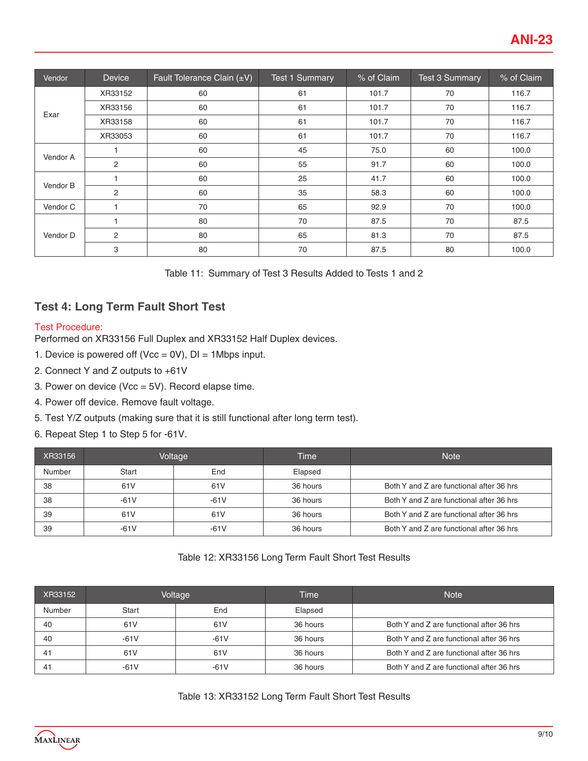| Vendor   | <b>Device</b>  | Fault Tolerance Clain (±V) | <b>Test 1 Summary</b> | % of Claim | <b>Test 3 Summary</b> | % of Claim |
|----------|----------------|----------------------------|-----------------------|------------|-----------------------|------------|
|          | XR33152        | 60                         | 61                    | 101.7      | 70                    | 116.7      |
| Exar     | XR33156        | 60                         | 61                    | 101.7      | 70                    | 116.7      |
|          | XR33158        | 60                         | 61                    | 101.7      | 70                    | 116.7      |
|          | XR33053        | 60                         | 61                    | 101.7      | 70                    | 116.7      |
| Vendor A |                | 60                         | 45                    | 75.0       | 60                    | 100.0      |
|          | $\overline{2}$ | 60                         | 55                    | 91.7       | 60                    | 100.0      |
| Vendor B |                | 60                         | 25                    | 41.7       | 60                    | 100.0      |
|          | $\overline{2}$ | 60                         | 35                    | 58.3       | 60                    | 100.0      |
| Vendor C |                | 70                         | 65                    | 92.9       | 70                    | 100.0      |
|          |                | 80                         | 70                    | 87.5       | 70                    | 87.5       |
| Vendor D | 2              | 80                         | 65                    | 81.3       | 70                    | 87.5       |
|          | 3              | 80                         | 70                    | 87.5       | 80                    | 100.0      |

# **Test 4: Long Term Fault Short Test**

#### Test Procedure:

Performed on XR33156 Full Duplex and XR33152 Half Duplex devices.

- 1. Device is powered off (Vcc =  $0V$ ), DI = 1Mbps input.
- 2. Connect Y and Z outputs to +61V
- 3. Power on device (Vcc = 5V). Record elapse time.
- 4. Power off device. Remove fault voltage.
- 5. Test Y/Z outputs (making sure that it is still functional after long term test).
- 6. Repeat Step 1 to Step 5 for -61V.

| XR33156 | Voltage |                 | Time     | <b>Note</b>                              |
|---------|---------|-----------------|----------|------------------------------------------|
| Number  | Start   | End             | Elapsed  |                                          |
| 38      | 61V     | 61 <sub>V</sub> | 36 hours | Both Y and Z are functional after 36 hrs |
| 38      | $-61V$  | $-61V$          | 36 hours | Both Y and Z are functional after 36 hrs |
| 39      | 61V     | 61 <sub>V</sub> | 36 hours | Both Y and Z are functional after 36 hrs |
| 39      | $-61V$  | $-61V$          | 36 hours | Both Y and Z are functional after 36 hrs |

#### Table 12: XR33156 Long Term Fault Short Test Results

| XR33152 | Voltage         |        | Time     | <b>Note</b>                              |
|---------|-----------------|--------|----------|------------------------------------------|
| Number  | Start           | End    | Elapsed  |                                          |
| 40      | 61 <sub>V</sub> | 61V    | 36 hours | Both Y and Z are functional after 36 hrs |
| 40      | $-61V$          | $-61V$ | 36 hours | Both Y and Z are functional after 36 hrs |
| 41      | 61 <sub>V</sub> | 61V    | 36 hours | Both Y and Z are functional after 36 hrs |
| 41      | -61 V           | -61 V  | 36 hours | Both Y and Z are functional after 36 hrs |

Table 13: XR33152 Long Term Fault Short Test Results